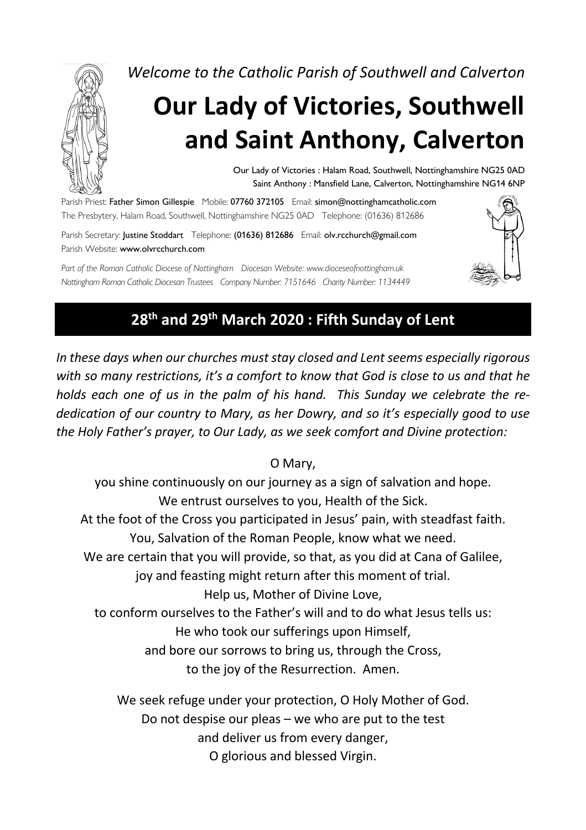

*Welcome to the Catholic Parish of Southwell and Calverton*

# **Our Lady of Victories, Southwell and Saint Anthony, Calverton**

Our Lady of Victories : Halam Road, Southwell, Nottinghamshire NG25 0AD Saint Anthony : Mansfield Lane, Calverton, Nottinghamshire NG14 6NP

Parish Priest: Father Simon Gillespie Mobile: 07760 372105 Email: simon@nottinghamcatholic.com The Presbytery, Halam Road, Southwell, Nottinghamshire NG25 0AD Telephone: (01636) 812686

Parish Secretary: Justine Stoddart Telephone: (01636) 812686 Email: olv.rcchurch@gmail.com Parish Website: www.olvrcchurch.com

*Part of the Roman Catholic Diocese of Nottingham Diocesan Website: www.dioceseofnottingham.uk Nottingham Roman Catholic Diocesan Trustees Company Number: 7151646 Charity Number: 1134449*



# **28th and 29th March 2020 : Fifth Sunday of Lent**

*In these days when our churches must stay closed and Lent seems especially rigorous with so many restrictions, it's a comfort to know that God is close to us and that he holds each one of us in the palm of his hand. This Sunday we celebrate the rededication of our country to Mary, as her Dowry, and so it's especially good to use the Holy Father's prayer, to Our Lady, as we seek comfort and Divine protection:*

O Mary,

you shine continuously on our journey as a sign of salvation and hope. We entrust ourselves to you, Health of the Sick. At the foot of the Cross you participated in Jesus' pain, with steadfast faith. You, Salvation of the Roman People, know what we need. We are certain that you will provide, so that, as you did at Cana of Galilee, joy and feasting might return after this moment of trial. Help us, Mother of Divine Love, to conform ourselves to the Father's will and to do what Jesus tells us: He who took our sufferings upon Himself, and bore our sorrows to bring us, through the Cross, to the joy of the Resurrection. Amen.

We seek refuge under your protection, O Holy Mother of God. Do not despise our pleas – we who are put to the test and deliver us from every danger, O glorious and blessed Virgin.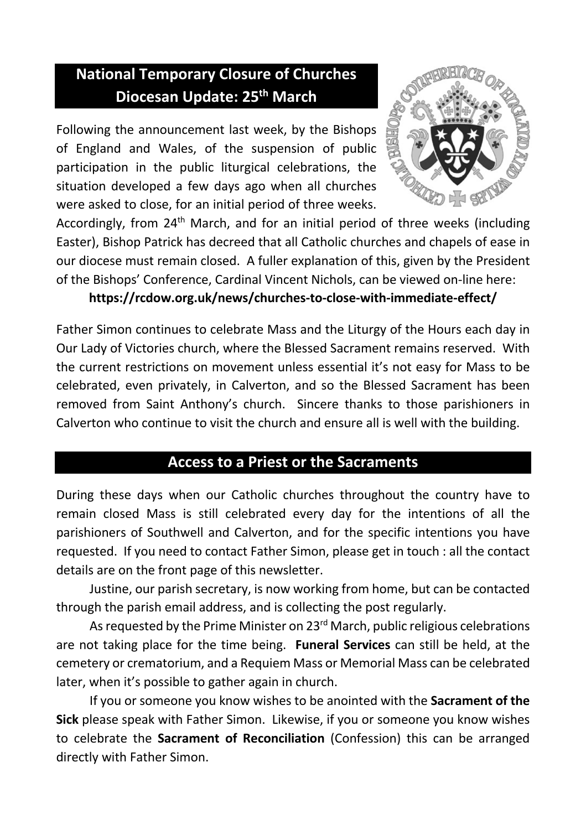# **National Temporary Closure of Churches Diocesan Update: 25th March**

Following the announcement last week, by the Bishops of England and Wales, of the suspension of public participation in the public liturgical celebrations, the situation developed a few days ago when all churches were asked to close, for an initial period of three weeks.



Accordingly, from 24<sup>th</sup> March, and for an initial period of three weeks (including Easter), Bishop Patrick has decreed that all Catholic churches and chapels of ease in our diocese must remain closed. A fuller explanation of this, given by the President of the Bishops' Conference, Cardinal Vincent Nichols, can be viewed on-line here:

#### **https://rcdow.org.uk/news/churches-to-close-with-immediate-effect/**

Father Simon continues to celebrate Mass and the Liturgy of the Hours each day in Our Lady of Victories church, where the Blessed Sacrament remains reserved. With the current restrictions on movement unless essential it's not easy for Mass to be celebrated, even privately, in Calverton, and so the Blessed Sacrament has been removed from Saint Anthony's church. Sincere thanks to those parishioners in Calverton who continue to visit the church and ensure all is well with the building.

## **Access to a Priest or the Sacraments**

During these days when our Catholic churches throughout the country have to remain closed Mass is still celebrated every day for the intentions of all the parishioners of Southwell and Calverton, and for the specific intentions you have requested. If you need to contact Father Simon, please get in touch : all the contact details are on the front page of this newsletter.

Justine, our parish secretary, is now working from home, but can be contacted through the parish email address, and is collecting the post regularly.

As requested by the Prime Minister on 23<sup>rd</sup> March, public religious celebrations are not taking place for the time being. **Funeral Services** can still be held, at the cemetery or crematorium, and a Requiem Mass or Memorial Mass can be celebrated later, when it's possible to gather again in church.

If you or someone you know wishes to be anointed with the **Sacrament of the Sick** please speak with Father Simon. Likewise, if you or someone you know wishes to celebrate the **Sacrament of Reconciliation** (Confession) this can be arranged directly with Father Simon.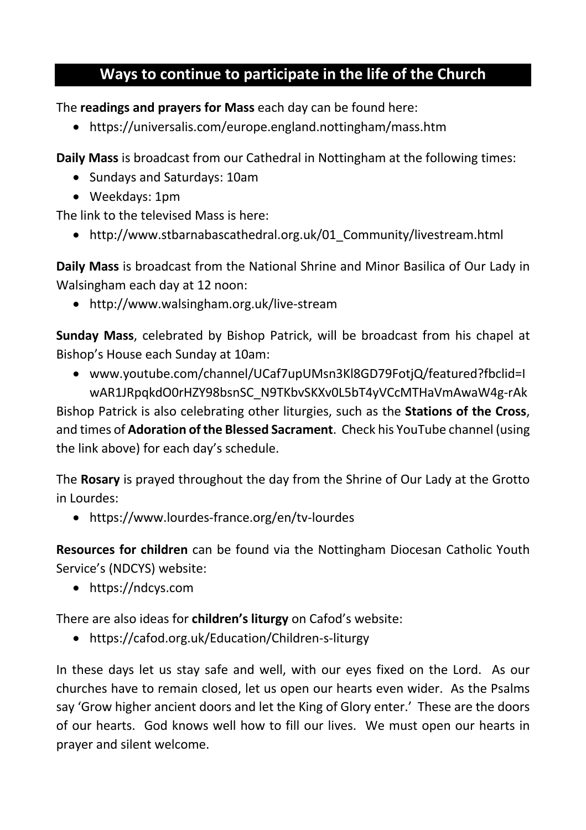# **Ways to continue to participate in the life of the Church**

The **readings and prayers for Mass** each day can be found here:

• https://universalis.com/europe.england.nottingham/mass.htm

**Daily Mass** is broadcast from our Cathedral in Nottingham at the following times:

- Sundays and Saturdays: 10am
- Weekdays: 1pm

The link to the televised Mass is here:

• http://www.stbarnabascathedral.org.uk/01 Community/livestream.html

**Daily Mass** is broadcast from the National Shrine and Minor Basilica of Our Lady in Walsingham each day at 12 noon:

• http://www.walsingham.org.uk/live-stream

**Sunday Mass**, celebrated by Bishop Patrick, will be broadcast from his chapel at Bishop's House each Sunday at 10am:

• www.youtube.com/channel/UCaf7upUMsn3Kl8GD79FotjQ/featured?fbclid=I wAR1JRpqkdO0rHZY98bsnSC\_N9TKbvSKXv0L5bT4yVCcMTHaVmAwaW4g-rAk

Bishop Patrick is also celebrating other liturgies, such as the **Stations of the Cross**, and times of **Adoration of the Blessed Sacrament**. Check his YouTube channel (using the link above) for each day's schedule.

The **Rosary** is prayed throughout the day from the Shrine of Our Lady at the Grotto in Lourdes:

• https://www.lourdes-france.org/en/tv-lourdes

**Resources for children** can be found via the Nottingham Diocesan Catholic Youth Service's (NDCYS) website:

• https://ndcys.com

There are also ideas for **children's liturgy** on Cafod's website:

• https://cafod.org.uk/Education/Children-s-liturgy

In these days let us stay safe and well, with our eyes fixed on the Lord. As our churches have to remain closed, let us open our hearts even wider. As the Psalms say 'Grow higher ancient doors and let the King of Glory enter.' These are the doors of our hearts. God knows well how to fill our lives. We must open our hearts in prayer and silent welcome.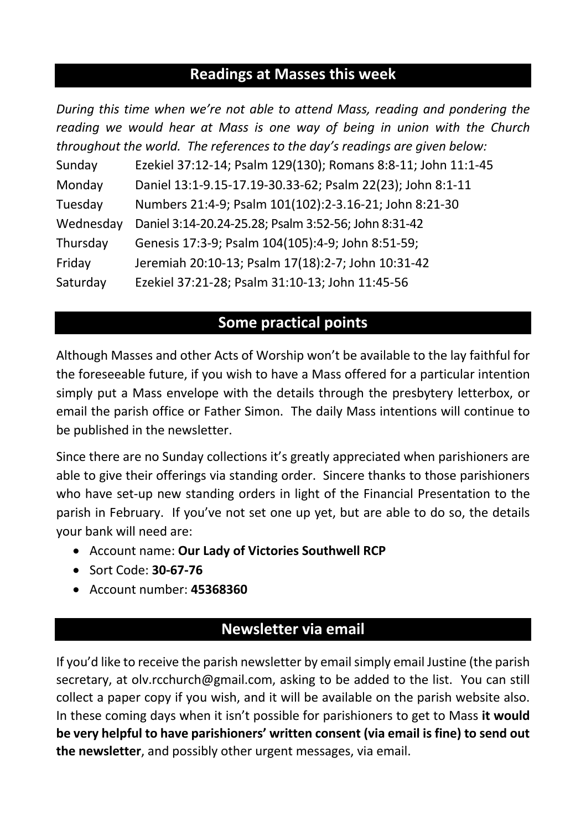## **Readings at Masses this week**

| During this time when we're not able to attend Mass, reading and pondering the |                                                               |
|--------------------------------------------------------------------------------|---------------------------------------------------------------|
| reading we would hear at Mass is one way of being in union with the Church     |                                                               |
| throughout the world. The references to the day's readings are given below:    |                                                               |
| Sunday                                                                         | Ezekiel 37:12-14; Psalm 129(130); Romans 8:8-11; John 11:1-45 |
| Monday                                                                         | Daniel 13:1-9.15-17.19-30.33-62; Psalm 22(23); John 8:1-11    |
| Tuesday                                                                        | Numbers 21:4-9; Psalm 101(102):2-3.16-21; John 8:21-30        |
| Wednesday                                                                      | Daniel 3:14-20.24-25.28; Psalm 3:52-56; John 8:31-42          |
| Thursday                                                                       | Genesis 17:3-9; Psalm 104(105):4-9; John 8:51-59;             |
| Friday                                                                         | Jeremiah 20:10-13; Psalm 17(18):2-7; John 10:31-42            |
| Saturday                                                                       | Ezekiel 37:21-28; Psalm 31:10-13; John 11:45-56               |

# **Some practical points**

Although Masses and other Acts of Worship won't be available to the lay faithful for the foreseeable future, if you wish to have a Mass offered for a particular intention simply put a Mass envelope with the details through the presbytery letterbox, or email the parish office or Father Simon. The daily Mass intentions will continue to be published in the newsletter.

Since there are no Sunday collections it's greatly appreciated when parishioners are able to give their offerings via standing order. Sincere thanks to those parishioners who have set-up new standing orders in light of the Financial Presentation to the parish in February. If you've not set one up yet, but are able to do so, the details your bank will need are:

- Account name: **Our Lady of Victories Southwell RCP**
- Sort Code: **30-67-76**
- Account number: **45368360**

## **Newsletter via email**

If you'd like to receive the parish newsletter by email simply email Justine (the parish secretary, at olv.rcchurch@gmail.com, asking to be added to the list. You can still collect a paper copy if you wish, and it will be available on the parish website also. In these coming days when it isn't possible for parishioners to get to Mass **it would be very helpful to have parishioners' written consent (via email is fine) to send out the newsletter**, and possibly other urgent messages, via email.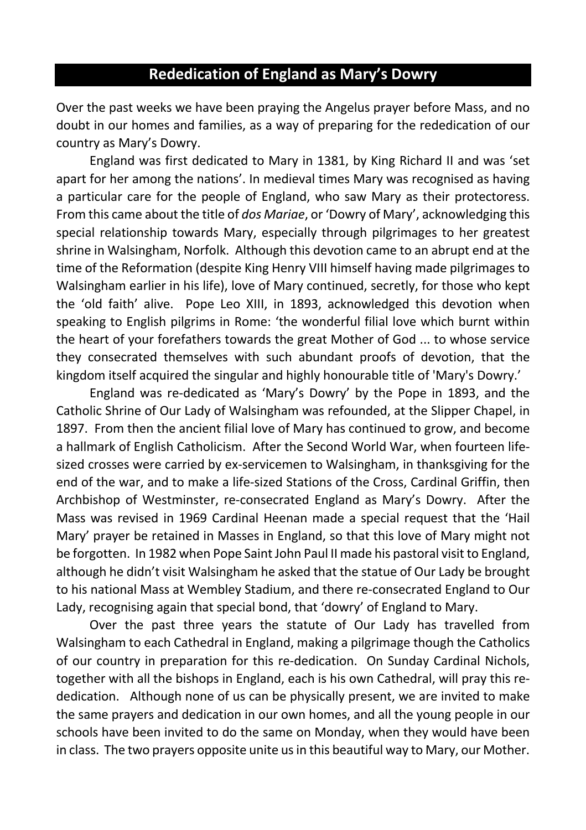# **Rededication of England as Mary's Dowry**

Over the past weeks we have been praying the Angelus prayer before Mass, and no doubt in our homes and families, as a way of preparing for the rededication of our country as Mary's Dowry.

England was first dedicated to Mary in 1381, by King Richard II and was 'set apart for her among the nations'. In medieval times Mary was recognised as having a particular care for the people of England, who saw Mary as their protectoress. From this came about the title of *dos Mariae*, or 'Dowry of Mary', acknowledging this special relationship towards Mary, especially through pilgrimages to her greatest shrine in Walsingham, Norfolk. Although this devotion came to an abrupt end at the time of the Reformation (despite King Henry VIII himself having made pilgrimages to Walsingham earlier in his life), love of Mary continued, secretly, for those who kept the 'old faith' alive. Pope Leo XIII, in 1893, acknowledged this devotion when speaking to English pilgrims in Rome: 'the wonderful filial love which burnt within the heart of your forefathers towards the great Mother of God ... to whose service they consecrated themselves with such abundant proofs of devotion, that the kingdom itself acquired the singular and highly honourable title of 'Mary's Dowry.'

England was re-dedicated as 'Mary's Dowry' by the Pope in 1893, and the Catholic Shrine of Our Lady of Walsingham was refounded, at the Slipper Chapel, in 1897. From then the ancient filial love of Mary has continued to grow, and become a hallmark of English Catholicism. After the Second World War, when fourteen lifesized crosses were carried by ex-servicemen to Walsingham, in thanksgiving for the end of the war, and to make a life-sized Stations of the Cross, Cardinal Griffin, then Archbishop of Westminster, re-consecrated England as Mary's Dowry. After the Mass was revised in 1969 Cardinal Heenan made a special request that the 'Hail Mary' prayer be retained in Masses in England, so that this love of Mary might not be forgotten. In 1982 when Pope Saint John Paul II made his pastoral visit to England, although he didn't visit Walsingham he asked that the statue of Our Lady be brought to his national Mass at Wembley Stadium, and there re-consecrated England to Our Lady, recognising again that special bond, that 'dowry' of England to Mary.

Over the past three years the statute of Our Lady has travelled from Walsingham to each Cathedral in England, making a pilgrimage though the Catholics of our country in preparation for this re-dedication. On Sunday Cardinal Nichols, together with all the bishops in England, each is his own Cathedral, will pray this rededication. Although none of us can be physically present, we are invited to make the same prayers and dedication in our own homes, and all the young people in our schools have been invited to do the same on Monday, when they would have been in class. The two prayers opposite unite us in this beautiful way to Mary, our Mother.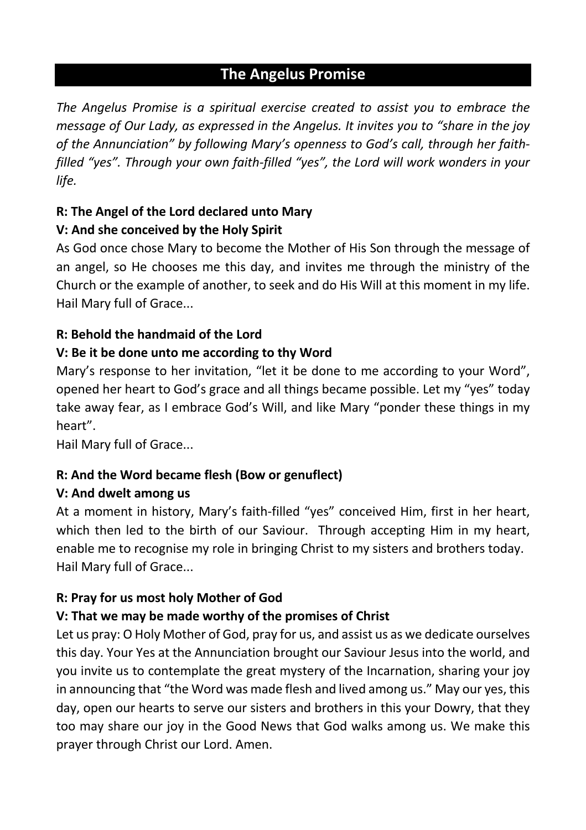## **The Angelus Promise**

*The Angelus Promise is a spiritual exercise created to assist you to embrace the message of Our Lady, as expressed in the Angelus. It invites you to "share in the joy of the Annunciation" by following Mary's openness to God's call, through her faithfilled "yes". Through your own faith-filled "yes", the Lord will work wonders in your life.* 

# **R: The Angel of the Lord declared unto Mary**

## **V: And she conceived by the Holy Spirit**

As God once chose Mary to become the Mother of His Son through the message of an angel, so He chooses me this day, and invites me through the ministry of the Church or the example of another, to seek and do His Will at this moment in my life. Hail Mary full of Grace...

## **R: Behold the handmaid of the Lord**

## **V: Be it be done unto me according to thy Word**

Mary's response to her invitation, "let it be done to me according to your Word", opened her heart to God's grace and all things became possible. Let my "yes" today take away fear, as I embrace God's Will, and like Mary "ponder these things in my heart".

Hail Mary full of Grace...

## **R: And the Word became flesh (Bow or genuflect)**

## **V: And dwelt among us**

At a moment in history, Mary's faith-filled "yes" conceived Him, first in her heart, which then led to the birth of our Saviour. Through accepting Him in my heart, enable me to recognise my role in bringing Christ to my sisters and brothers today. Hail Mary full of Grace...

## **R: Pray for us most holy Mother of God**

## **V: That we may be made worthy of the promises of Christ**

Let us pray: O Holy Mother of God, pray for us, and assist us as we dedicate ourselves this day. Your Yes at the Annunciation brought our Saviour Jesus into the world, and you invite us to contemplate the great mystery of the Incarnation, sharing your joy in announcing that "the Word was made flesh and lived among us." May our yes, this day, open our hearts to serve our sisters and brothers in this your Dowry, that they too may share our joy in the Good News that God walks among us. We make this prayer through Christ our Lord. Amen.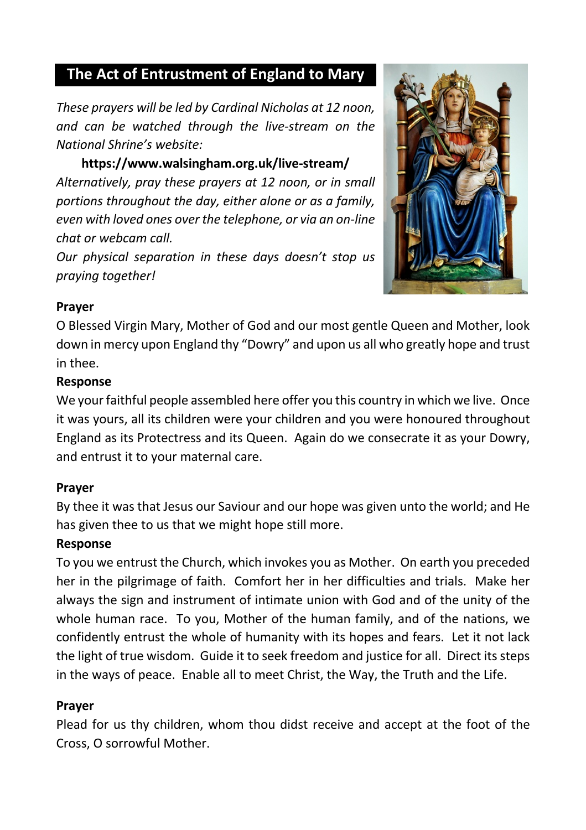## **The Act of Entrustment of England to Mary**

*These prayers will be led by Cardinal Nicholas at 12 noon, and can be watched through the live-stream on the National Shrine's website:*

**https://www.walsingham.org.uk/live-stream/** *Alternatively, pray these prayers at 12 noon, or in small portions throughout the day, either alone or as a family, even with loved ones over the telephone, or via an on-line chat or webcam call.*

*Our physical separation in these days doesn't stop us praying together!*



#### **Prayer**

O Blessed Virgin Mary, Mother of God and our most gentle Queen and Mother, look down in mercy upon England thy "Dowry" and upon us all who greatly hope and trust in thee.

#### **Response**

We your faithful people assembled here offer you this country in which we live. Once it was yours, all its children were your children and you were honoured throughout England as its Protectress and its Queen. Again do we consecrate it as your Dowry, and entrust it to your maternal care.

#### **Prayer**

By thee it was that Jesus our Saviour and our hope was given unto the world; and He has given thee to us that we might hope still more.

#### **Response**

To you we entrust the Church, which invokes you as Mother. On earth you preceded her in the pilgrimage of faith. Comfort her in her difficulties and trials. Make her always the sign and instrument of intimate union with God and of the unity of the whole human race. To you, Mother of the human family, and of the nations, we confidently entrust the whole of humanity with its hopes and fears. Let it not lack the light of true wisdom. Guide it to seek freedom and justice for all. Direct its steps in the ways of peace. Enable all to meet Christ, the Way, the Truth and the Life.

#### **Prayer**

Plead for us thy children, whom thou didst receive and accept at the foot of the Cross, O sorrowful Mother.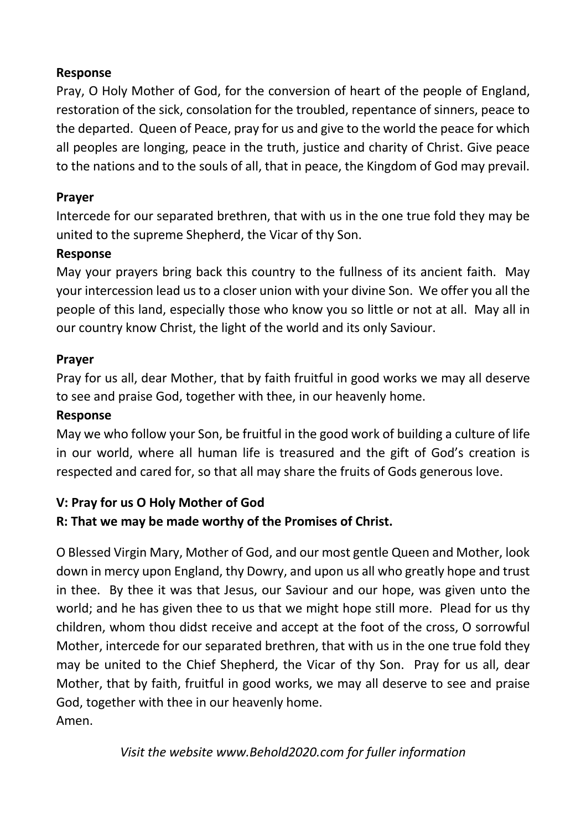## **Response**

Pray, O Holy Mother of God, for the conversion of heart of the people of England, restoration of the sick, consolation for the troubled, repentance of sinners, peace to the departed. Queen of Peace, pray for us and give to the world the peace for which all peoples are longing, peace in the truth, justice and charity of Christ. Give peace to the nations and to the souls of all, that in peace, the Kingdom of God may prevail.

## **Prayer**

Intercede for our separated brethren, that with us in the one true fold they may be united to the supreme Shepherd, the Vicar of thy Son.

#### **Response**

May your prayers bring back this country to the fullness of its ancient faith. May your intercession lead us to a closer union with your divine Son. We offer you all the people of this land, especially those who know you so little or not at all. May all in our country know Christ, the light of the world and its only Saviour.

#### **Prayer**

Pray for us all, dear Mother, that by faith fruitful in good works we may all deserve to see and praise God, together with thee, in our heavenly home.

#### **Response**

May we who follow your Son, be fruitful in the good work of building a culture of life in our world, where all human life is treasured and the gift of God's creation is respected and cared for, so that all may share the fruits of Gods generous love.

## **V: Pray for us O Holy Mother of God**

## **R: That we may be made worthy of the Promises of Christ.**

O Blessed Virgin Mary, Mother of God, and our most gentle Queen and Mother, look down in mercy upon England, thy Dowry, and upon us all who greatly hope and trust in thee. By thee it was that Jesus, our Saviour and our hope, was given unto the world; and he has given thee to us that we might hope still more. Plead for us thy children, whom thou didst receive and accept at the foot of the cross, O sorrowful Mother, intercede for our separated brethren, that with us in the one true fold they may be united to the Chief Shepherd, the Vicar of thy Son. Pray for us all, dear Mother, that by faith, fruitful in good works, we may all deserve to see and praise God, together with thee in our heavenly home.

Amen.

*Visit the website www.Behold2020.com for fuller information*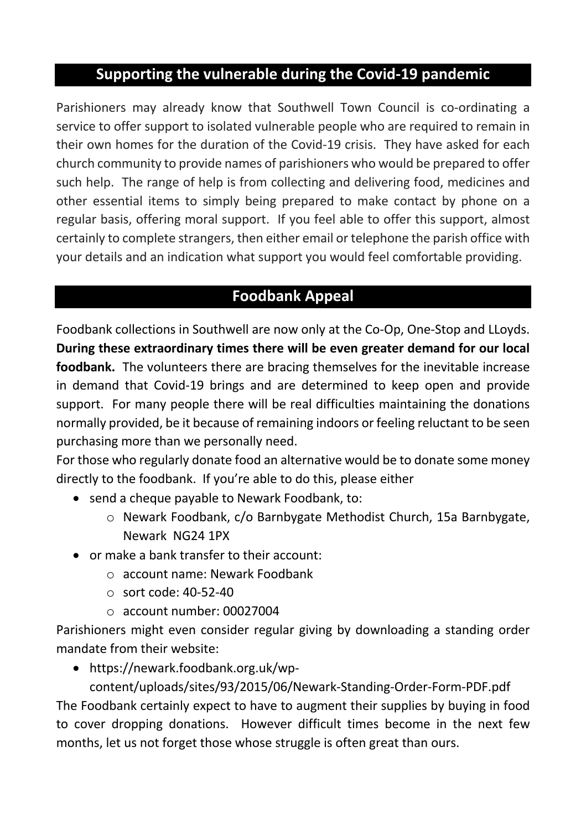# **Supporting the vulnerable during the Covid-19 pandemic**

Parishioners may already know that Southwell Town Council is co-ordinating a service to offer support to isolated vulnerable people who are required to remain in their own homes for the duration of the Covid-19 crisis. They have asked for each church community to provide names of parishioners who would be prepared to offer such help. The range of help is from collecting and delivering food, medicines and other essential items to simply being prepared to make contact by phone on a regular basis, offering moral support. If you feel able to offer this support, almost certainly to complete strangers, then either email or telephone the parish office with your details and an indication what support you would feel comfortable providing.

# **Foodbank Appeal**

Foodbank collections in Southwell are now only at the Co-Op, One-Stop and LLoyds. **During these extraordinary times there will be even greater demand for our local foodbank.** The volunteers there are bracing themselves for the inevitable increase in demand that Covid-19 brings and are determined to keep open and provide support. For many people there will be real difficulties maintaining the donations normally provided, be it because of remaining indoors or feeling reluctant to be seen purchasing more than we personally need.

For those who regularly donate food an alternative would be to donate some money directly to the foodbank. If you're able to do this, please either

- send a cheque payable to Newark Foodbank, to:
	- o Newark Foodbank, c/o Barnbygate Methodist Church, 15a Barnbygate, Newark NG24 1PX
- or make a bank transfer to their account:
	- o account name: Newark Foodbank
	- $\circ$  sort code: 40-52-40
	- o account number: 00027004

Parishioners might even consider regular giving by downloading a standing order mandate from their website:

• https://newark.foodbank.org.uk/wp-

content/uploads/sites/93/2015/06/Newark-Standing-Order-Form-PDF.pdf The Foodbank certainly expect to have to augment their supplies by buying in food to cover dropping donations. However difficult times become in the next few months, let us not forget those whose struggle is often great than ours.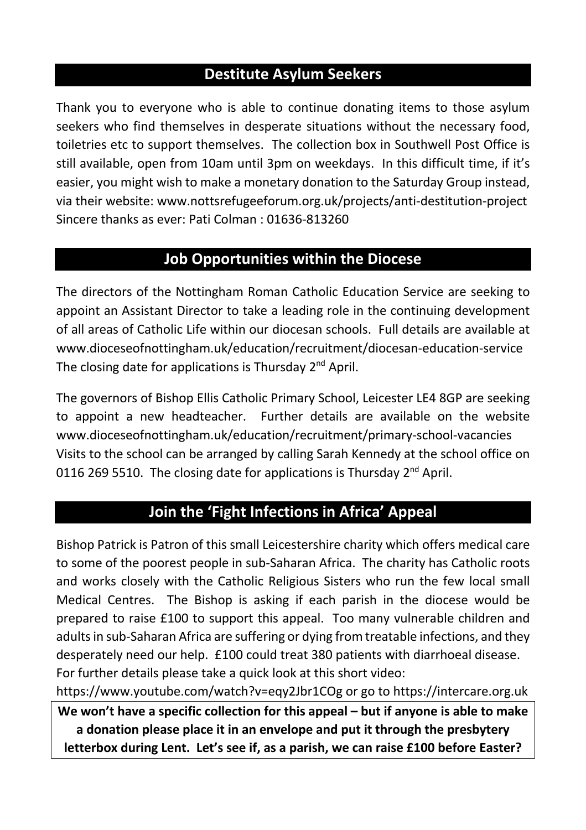## **Destitute Asylum Seekers**

Thank you to everyone who is able to continue donating items to those asylum seekers who find themselves in desperate situations without the necessary food, toiletries etc to support themselves. The collection box in Southwell Post Office is still available, open from 10am until 3pm on weekdays. In this difficult time, if it's easier, you might wish to make a monetary donation to the Saturday Group instead, via their website: www.nottsrefugeeforum.org.uk/projects/anti-destitution-project Sincere thanks as ever: Pati Colman : 01636-813260

# **Job Opportunities within the Diocese**

The directors of the Nottingham Roman Catholic Education Service are seeking to appoint an Assistant Director to take a leading role in the continuing development of all areas of Catholic Life within our diocesan schools. Full details are available at www.dioceseofnottingham.uk/education/recruitment/diocesan-education-service The closing date for applications is Thursday 2<sup>nd</sup> April.

The governors of Bishop Ellis Catholic Primary School, Leicester LE4 8GP are seeking to appoint a new headteacher. Further details are available on the website www.dioceseofnottingham.uk/education/recruitment/primary-school-vacancies Visits to the school can be arranged by calling Sarah Kennedy at the school office on 0116 269 5510. The closing date for applications is Thursday  $2^{nd}$  April.

# **Join the 'Fight Infections in Africa' Appeal**

Bishop Patrick is Patron of this small Leicestershire charity which offers medical care to some of the poorest people in sub-Saharan Africa. The charity has Catholic roots and works closely with the Catholic Religious Sisters who run the few local small Medical Centres. The Bishop is asking if each parish in the diocese would be prepared to raise £100 to support this appeal. Too many vulnerable children and adults in sub-Saharan Africa are suffering or dying from treatable infections, and they desperately need our help. £100 could treat 380 patients with diarrhoeal disease. For further details please take a quick look at this short video:

https://www.youtube.com/watch?v=eqy2Jbr1COg or go to https://intercare.org.uk **We won't have a specific collection for this appeal – but if anyone is able to make a donation please place it in an envelope and put it through the presbytery letterbox during Lent. Let's see if, as a parish, we can raise £100 before Easter?**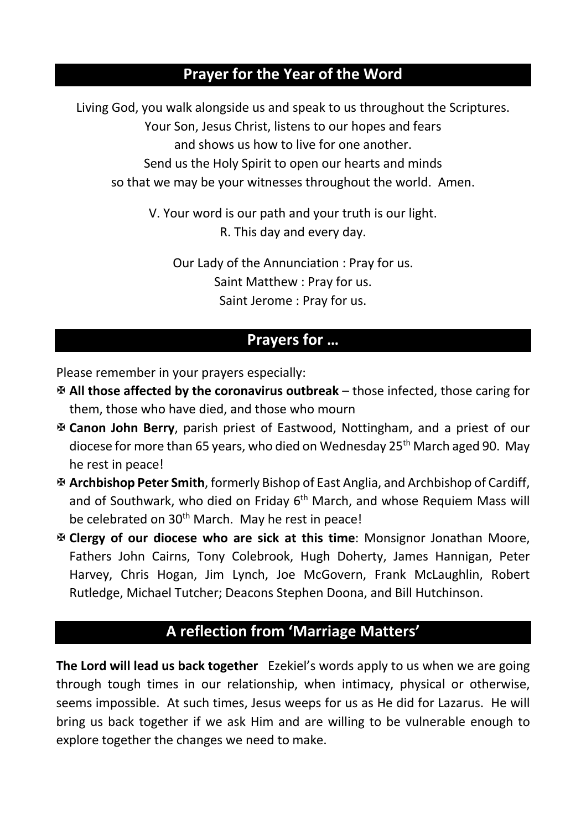# **Prayer for the Year of the Word**

Living God, you walk alongside us and speak to us throughout the Scriptures. Your Son, Jesus Christ, listens to our hopes and fears and shows us how to live for one another. Send us the Holy Spirit to open our hearts and minds so that we may be your witnesses throughout the world. Amen.

> V. Your word is our path and your truth is our light. R. This day and every day.

Our Lady of the Annunciation : Pray for us. Saint Matthew : Pray for us. Saint Jerome : Pray for us.

## **Prayers for …**

Please remember in your prayers especially:

- X **All those affected by the coronavirus outbreak** those infected, those caring for them, those who have died, and those who mourn
- X **Canon John Berry**, parish priest of Eastwood, Nottingham, and a priest of our diocese for more than 65 years, who died on Wednesday 25th March aged 90. May he rest in peace!
- X **Archbishop Peter Smith**, formerly Bishop of East Anglia, and Archbishop of Cardiff, and of Southwark, who died on Friday  $6<sup>th</sup>$  March, and whose Requiem Mass will be celebrated on 30<sup>th</sup> March. May he rest in peace!
- X **Clergy of our diocese who are sick at this time**: Monsignor Jonathan Moore, Fathers John Cairns, Tony Colebrook, Hugh Doherty, James Hannigan, Peter Harvey, Chris Hogan, Jim Lynch, Joe McGovern, Frank McLaughlin, Robert Rutledge, Michael Tutcher; Deacons Stephen Doona, and Bill Hutchinson.

# **A reflection from 'Marriage Matters'**

**The Lord will lead us back together** Ezekiel's words apply to us when we are going through tough times in our relationship, when intimacy, physical or otherwise, seems impossible. At such times, Jesus weeps for us as He did for Lazarus. He will bring us back together if we ask Him and are willing to be vulnerable enough to explore together the changes we need to make.